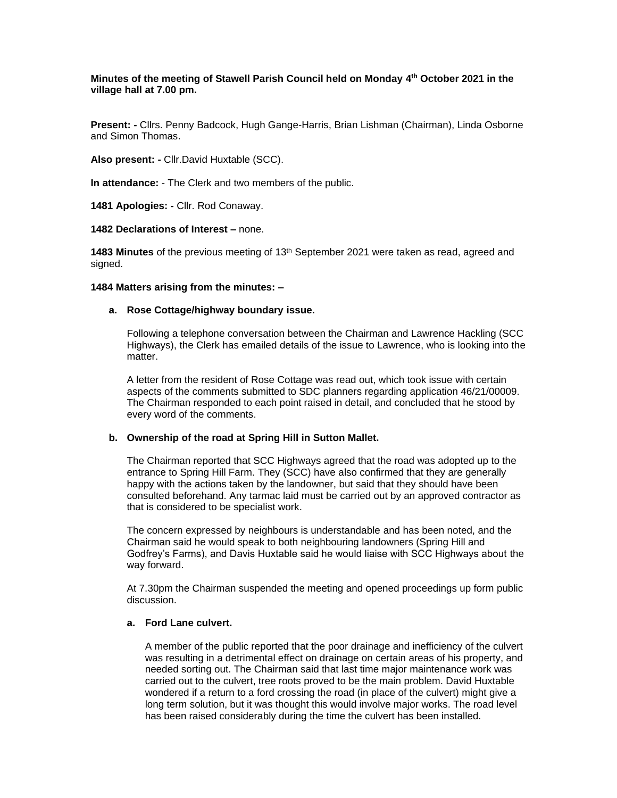# **Minutes of the meeting of Stawell Parish Council held on Monday 4 th October 2021 in the village hall at 7.00 pm.**

**Present: -** Cllrs. Penny Badcock, Hugh Gange-Harris, Brian Lishman (Chairman), Linda Osborne and Simon Thomas.

**Also present: -** Cllr.David Huxtable (SCC).

**In attendance:** - The Clerk and two members of the public.

**1481 Apologies: -** Cllr. Rod Conaway.

#### **1482 Declarations of Interest –** none.

**1483 Minutes** of the previous meeting of 13<sup>th</sup> September 2021 were taken as read, agreed and signed.

## **1484 Matters arising from the minutes: –**

## **a. Rose Cottage/highway boundary issue.**

Following a telephone conversation between the Chairman and Lawrence Hackling (SCC Highways), the Clerk has emailed details of the issue to Lawrence, who is looking into the matter.

A letter from the resident of Rose Cottage was read out, which took issue with certain aspects of the comments submitted to SDC planners regarding application 46/21/00009. The Chairman responded to each point raised in detail, and concluded that he stood by every word of the comments.

# **b. Ownership of the road at Spring Hill in Sutton Mallet.**

The Chairman reported that SCC Highways agreed that the road was adopted up to the entrance to Spring Hill Farm. They (SCC) have also confirmed that they are generally happy with the actions taken by the landowner, but said that they should have been consulted beforehand. Any tarmac laid must be carried out by an approved contractor as that is considered to be specialist work.

The concern expressed by neighbours is understandable and has been noted, and the Chairman said he would speak to both neighbouring landowners (Spring Hill and Godfrey's Farms), and Davis Huxtable said he would liaise with SCC Highways about the way forward.

At 7.30pm the Chairman suspended the meeting and opened proceedings up form public discussion.

#### **a. Ford Lane culvert.**

A member of the public reported that the poor drainage and inefficiency of the culvert was resulting in a detrimental effect on drainage on certain areas of his property, and needed sorting out. The Chairman said that last time major maintenance work was carried out to the culvert, tree roots proved to be the main problem. David Huxtable wondered if a return to a ford crossing the road (in place of the culvert) might give a long term solution, but it was thought this would involve major works. The road level has been raised considerably during the time the culvert has been installed.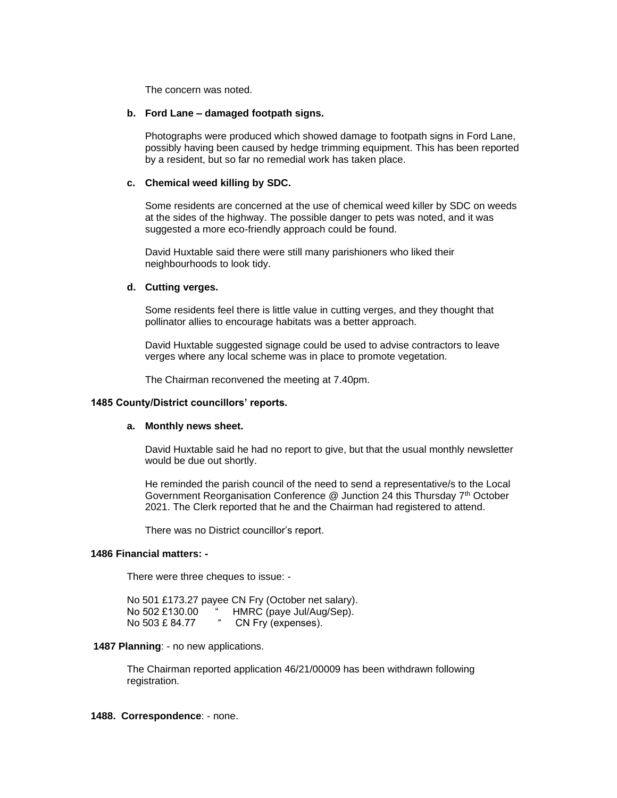The concern was noted.

## **b. Ford Lane – damaged footpath signs.**

Photographs were produced which showed damage to footpath signs in Ford Lane, possibly having been caused by hedge trimming equipment. This has been reported by a resident, but so far no remedial work has taken place.

## **c. Chemical weed killing by SDC.**

Some residents are concerned at the use of chemical weed killer by SDC on weeds at the sides of the highway. The possible danger to pets was noted, and it was suggested a more eco-friendly approach could be found.

David Huxtable said there were still many parishioners who liked their neighbourhoods to look tidy.

## **d. Cutting verges.**

Some residents feel there is little value in cutting verges, and they thought that pollinator allies to encourage habitats was a better approach.

David Huxtable suggested signage could be used to advise contractors to leave verges where any local scheme was in place to promote vegetation.

The Chairman reconvened the meeting at 7.40pm.

## **1485 County/District councillors' reports.**

## **a. Monthly news sheet.**

David Huxtable said he had no report to give, but that the usual monthly newsletter would be due out shortly.

He reminded the parish council of the need to send a representative/s to the Local Government Reorganisation Conference @ Junction 24 this Thursday 7<sup>th</sup> October 2021. The Clerk reported that he and the Chairman had registered to attend.

There was no District councillor's report.

#### **1486 Financial matters: -**

There were three cheques to issue: -

No 501 £173.27 payee CN Fry (October net salary). No 502 £130.00 " HMRC (paye Jul/Aug/Sep). No 503 £ 84.77 " CN Fry (expenses).

#### **1487 Planning**: - no new applications.

The Chairman reported application 46/21/00009 has been withdrawn following registration.

## **1488. Correspondence**: - none.